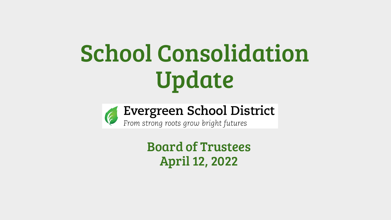# School Consolidation Update



Board of Trustees April 12, 2022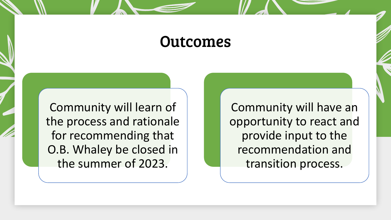#### Outcomes

Community will learn of the process and rationale for recommending that O.B. Whaley be closed in the summer of 2023.

Community will have an opportunity to react and provide input to the recommendation and transition process.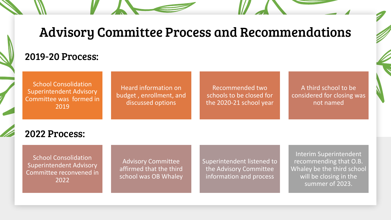#### Advisory Committee Process and Recommendations

#### 2019-20 Process:

School Consolidation Superintendent Advisory Committee was formed in 2019

Heard information on budget , enrollment, and discussed options

Recommended two schools to be closed for the 2020-21 school year

A third school to be considered for closing was not named

#### 2022 Process:

School Consolidation Superintendent Advisory Committee reconvened in 2022

Advisory Committee affirmed that the third school was OB Whaley Superintendent listened to the Advisory Committee information and process

Interim Superintendent recommending that O.B. Whaley be the third school will be closing in the summer of 2023.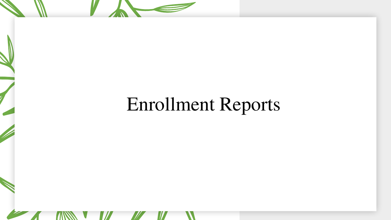# Enrollment Reports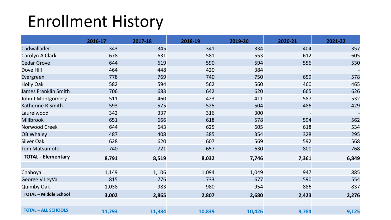### Enrollment History

|                              | 2016-17 | 2017-18 | 2018-19 | 2019-20 | 2020-21 | 2021-22 |
|------------------------------|---------|---------|---------|---------|---------|---------|
| Cadwallader                  | 343     | 345     | 341     | 334     | 404     | 357     |
| Carolyn A Clark              | 678     | 631     | 581     | 553     | 612     | 605     |
| <b>Cedar Grove</b>           | 644     | 619     | 590     | 594     | 556     | 530     |
| Dove Hill                    | 464     | 448     | 420     | 384     |         |         |
| Evergreen                    | 778     | 769     | 740     | 750     | 659     | 578     |
| <b>Holly Oak</b>             | 582     | 594     | 562     | 560     | 460     | 465     |
| James Franklin Smith         | 706     | 683     | 642     | 620     | 665     | 626     |
| John J Montgomery            | 511     | 460     | 423     | 411     | 587     | 532     |
| Katherine R Smith            | 593     | 575     | 525     | 504     | 486     | 429     |
| Laurelwood                   | 342     | 337     | 316     | 300     |         |         |
| <b>Millbrook</b>             | 651     | 666     | 618     | 578     | 594     | 562     |
| Norwood Creek                | 644     | 643     | 625     | 605     | 618     | 534     |
| <b>OB Whaley</b>             | 487     | 408     | 385     | 354     | 328     | 295     |
| <b>Silver Oak</b>            | 628     | 620     | 607     | 569     | 592     | 568     |
| <b>Tom Matsumoto</b>         | 740     | 721     | 657     | 630     | 800     | 768     |
| <b>TOTAL - Elementary</b>    | 8,791   | 8,519   | 8,032   | 7,746   | 7,361   | 6,849   |
|                              |         |         |         |         |         |         |
| Chaboya                      | 1,149   | 1,106   | 1,094   | 1,049   | 947     | 885     |
| George V LeyVa               | 815     | 776     | 733     | 677     | 590     | 554     |
| <b>Quimby Oak</b>            | 1,038   | 983     | 980     | 954     | 886     | 837     |
| <b>TOTAL - Middle School</b> | 3,002   | 2,865   | 2,807   | 2,680   | 2,423   | 2,276   |
| <b>TOTAL - ALL SCHOOLS</b>   | 11,793  | 11,384  | 10,839  | 10,426  | 9,784   | 9,125   |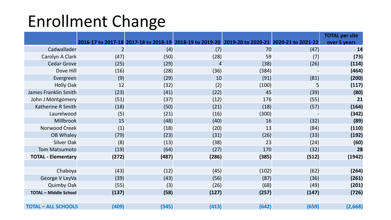### Enrollment Change

|                              |                |       |                |                                                                                                |       | <b>TOTAL per site</b> |
|------------------------------|----------------|-------|----------------|------------------------------------------------------------------------------------------------|-------|-----------------------|
|                              |                |       |                | 2016-17 to 2017-18 2017-18 to 2018-19 2018-19 to 2019-20 2019-20 to 2020-21 2020-21 to 2021-22 |       | over 5 years          |
| Cadwallader                  | $\overline{2}$ | (4)   | (7)            | 70                                                                                             | (47)  | 14                    |
| Carolyn A Clark              | (47)           | (50)  | (28)           | 59                                                                                             | (7)   | (73)                  |
| <b>Cedar Grove</b>           | (25)           | (29)  | $\overline{4}$ | (38)                                                                                           | (26)  | (114)                 |
| Dove Hill                    | (16)           | (28)  | (36)           | (384)                                                                                          |       | (464)                 |
| Evergreen                    | (9)            | (29)  | 10             | (91)                                                                                           | (81)  | (200)                 |
| <b>Holly Oak</b>             | 12             | (32)  | (2)            | (100)                                                                                          | 5     | (117)                 |
| James Franklin Smith         | (23)           | (41)  | (22)           | 45                                                                                             | (39)  | (80)                  |
| John J Montgomery            | (51)           | (37)  | (12)           | 176                                                                                            | (55)  | 21                    |
| Katherine R Smith            | (18)           | (50)  | (21)           | (18)                                                                                           | (57)  | (164)                 |
| Laurelwood                   | (5)            | (21)  | (16)           | (300)                                                                                          |       | (342)                 |
| Millbrook                    | 15             | (48)  | (40)           | 16                                                                                             | (32)  | (89)                  |
| Norwood Creek                | (1)            | (18)  | (20)           | 13                                                                                             | (84)  | (110)                 |
| <b>OB Whaley</b>             | (79)           | (23)  | (31)           | (26)                                                                                           | (33)  | (192)                 |
| <b>Silver Oak</b>            | (8)            | (13)  | (38)           | 23                                                                                             | (24)  | (60)                  |
| <b>Tom Matsumoto</b>         | (19)           | (64)  | (27)           | 170                                                                                            | (32)  | 28                    |
| <b>TOTAL - Elementary</b>    | (272)          | (487) | (286)          | (385)                                                                                          | (512) | (1942)                |
|                              |                |       |                |                                                                                                |       |                       |
| Chaboya                      | (43)           | (12)  | (45)           | (102)                                                                                          | (62)  | (264)                 |
| George V LeyVa               | (39)           | (43)  | (56)           | (87)                                                                                           | (36)  | (261)                 |
| <b>Quimby Oak</b>            | (55)           | (3)   | (26)           | (68)                                                                                           | (49)  | (201)                 |
| <b>TOTAL - Middle School</b> | (137)          | (58)  | (127)          | (257)                                                                                          | (147) | (726)                 |
|                              |                |       |                |                                                                                                |       |                       |
| <b>TOTAL - ALL SCHOOLS</b>   | (409)          | (545) | (413)          | (642)                                                                                          | (659) | (2,668)               |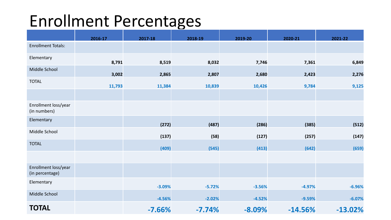#### Enrollment Percentages

|                                         | 2016-17 | 2017-18  | 2018-19  | 2019-20  | 2020-21   | 2021-22   |
|-----------------------------------------|---------|----------|----------|----------|-----------|-----------|
| <b>Enrollment Totals:</b>               |         |          |          |          |           |           |
| Elementary                              | 8,791   | 8,519    | 8,032    | 7,746    | 7,361     | 6,849     |
| Middle School                           | 3,002   | 2,865    | 2,807    | 2,680    | 2,423     | 2,276     |
| <b>TOTAL</b>                            | 11,793  | 11,384   | 10,839   | 10,426   | 9,784     | 9,125     |
|                                         |         |          |          |          |           |           |
| Enrollment loss/year<br>(in numbers)    |         |          |          |          |           |           |
| Elementary                              |         | (272)    | (487)    | (286)    | (385)     | (512)     |
| Middle School                           |         | (137)    | (58)     | (127)    | (257)     | (147)     |
| <b>TOTAL</b>                            |         | (409)    | (545)    | (413)    | (642)     | (659)     |
|                                         |         |          |          |          |           |           |
| Enrollment loss/year<br>(in percentage) |         |          |          |          |           |           |
| Elementary                              |         | $-3.09%$ | $-5.72%$ | $-3.56%$ | $-4.97%$  | $-6.96%$  |
| Middle School                           |         | $-4.56%$ | $-2.02%$ | $-4.52%$ | $-9.59%$  | $-6.07%$  |
| <b>TOTAL</b>                            |         | $-7.66%$ | $-7.74%$ | $-8.09%$ | $-14.56%$ | $-13.02%$ |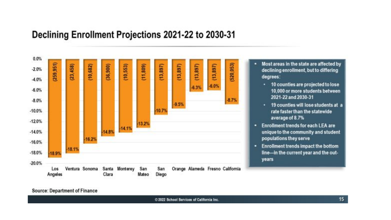#### Declining Enrollment Projections 2021-22 to 2030-31



- Most areas in the state are affected by declining enrollment, but to differing degrees:
	- 10 counties are projected to lose 10,000 or more students between 2021-22 and 2030-31
	- 19 counties will lose students at a rate faster than the statewide average of 8.7%
- . Enrollment trends for each LEA are unique to the community and student populations they serve
- Enrollment trends impact the bottom ۰. line-in the current year and the outyears

Source: Department of Finance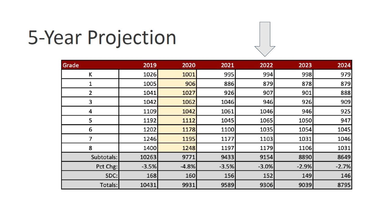# 5-Year Projection

| Grade      | 2019    | 2020    | 2021    | 2022    | 2023    | 2024    |
|------------|---------|---------|---------|---------|---------|---------|
| Κ          | 1026    | 1001    | 995     | 994     | 998     | 979     |
| 1          | 1005    | 906     | 886     | 879     | 878     | 879     |
| 2          | 1041    | 1027    | 926     | 907     | 901     | 888     |
| 3          | 1042    | 1062    | 1046    | 946     | 926     | 909     |
| 4          | 1109    | 1042    | 1061    | 1046    | 946     | 925     |
| 5          | 1192    | 1112    | 1045    | 1065    | 1050    | 947     |
| 6          | 1202    | 1178    | 1100    | 1035    | 1054    | 1045    |
| 7          | 1246    | 1195    | 1177    | 1103    | 1031    | 1046    |
| 8          | 1400    | 1248    | 1197    | 1179    | 1106    | 1031    |
| Subtotals: | 10263   | 9771    | 9433    | 9154    | 8890    | 8649    |
| Pct Chg:   | $-3.5%$ | $-4.8%$ | $-3.5%$ | $-3.0%$ | $-2.9%$ | $-2.7%$ |
| SDC:       | 168     | 160     | 156     | 152     | 149     | 146     |
| Totals:    | 10431   | 9931    | 9589    | 9306    | 9039    | 8795    |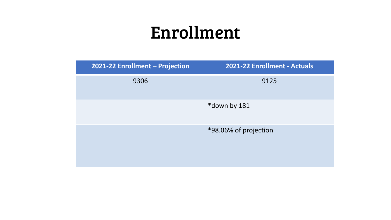### Enrollment

| 2021-22 Enrollment - Projection | 2021-22 Enrollment - Actuals |
|---------------------------------|------------------------------|
| 9306                            | 9125                         |
|                                 | *down by 181                 |
|                                 | *98.06% of projection        |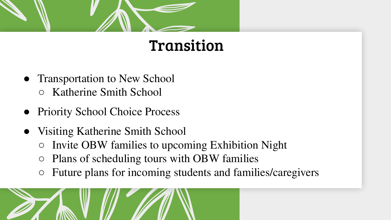

#### Transition

- Transportation to New School ○ Katherine Smith School
- Priority School Choice Process
- Visiting Katherine Smith School
	- Invite OBW families to upcoming Exhibition Night
	- Plans of scheduling tours with OBW families
	- Future plans for incoming students and families/caregivers

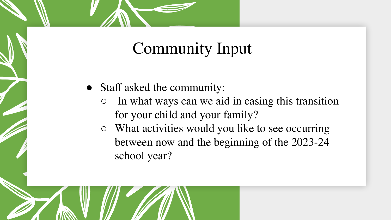#### Community Input

- Staff asked the community:
	- In what ways can we aid in easing this transition for your child and your family?
	- What activities would you like to see occurring between now and the beginning of the 2023-24 school year?